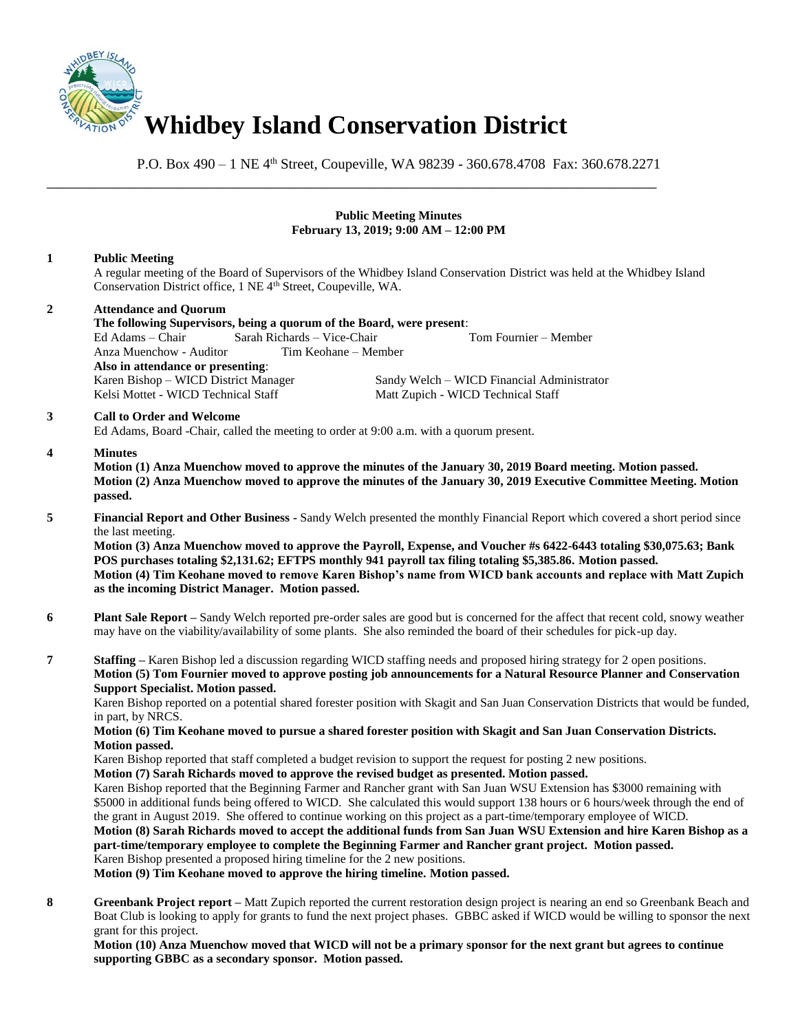

\_\_\_\_\_\_\_\_\_\_\_\_\_\_\_\_\_\_\_\_\_\_\_\_\_\_\_\_\_\_\_\_\_\_\_\_\_\_\_\_\_\_\_\_\_\_\_\_\_\_\_\_\_\_\_\_\_\_\_\_\_\_\_\_\_\_\_\_\_\_\_\_\_\_\_\_\_\_

P.O. Box 490 – 1 NE 4<sup>th</sup> Street, Coupeville, WA 98239 - 360.678.4708 Fax: 360.678.2271

# **Public Meeting Minutes February 13, 2019; 9:00 AM – 12:00 PM**

# **1 Public Meeting**

A regular meeting of the Board of Supervisors of the Whidbey Island Conservation District was held at the Whidbey Island Conservation District office, 1 NE 4<sup>th</sup> Street, Coupeville, WA.

# **2 Attendance and Quorum The following Supervisors, being a quorum of the Board, were present**: Ed Adams – Chair Sarah Richards – Vice-Chair Tom Fournier – Member Anza Muenchow - Auditor **Also in attendance or presenting**: Sandy Welch – WICD Financial Administrator Kelsi Mottet - WICD Technical Staff Matt Zupich - WICD Technical Staff **3 Call to Order and Welcome**

Ed Adams, Board -Chair, called the meeting to order at 9:00 a.m. with a quorum present.

# **4 Minutes**

**Motion (1) Anza Muenchow moved to approve the minutes of the January 30, 2019 Board meeting. Motion passed. Motion (2) Anza Muenchow moved to approve the minutes of the January 30, 2019 Executive Committee Meeting. Motion passed.** 

**5 Financial Report and Other Business -** Sandy Welch presented the monthly Financial Report which covered a short period since the last meeting.

**Motion (3) Anza Muenchow moved to approve the Payroll, Expense, and Voucher #s 6422-6443 totaling \$30,075.63; Bank POS purchases totaling \$2,131.62; EFTPS monthly 941 payroll tax filing totaling \$5,385.86. Motion passed. Motion (4) Tim Keohane moved to remove Karen Bishop's name from WICD bank accounts and replace with Matt Zupich as the incoming District Manager. Motion passed.**

- **6 Plant Sale Report** Sandy Welch reported pre-order sales are good but is concerned for the affect that recent cold, snowy weather may have on the viability/availability of some plants. She also reminded the board of their schedules for pick-up day.
- **7 Staffing** Karen Bishop led a discussion regarding WICD staffing needs and proposed hiring strategy for 2 open positions. **Motion (5) Tom Fournier moved to approve posting job announcements for a Natural Resource Planner and Conservation Support Specialist. Motion passed.**

Karen Bishop reported on a potential shared forester position with Skagit and San Juan Conservation Districts that would be funded, in part, by NRCS.

#### **Motion (6) Tim Keohane moved to pursue a shared forester position with Skagit and San Juan Conservation Districts. Motion passed.**

Karen Bishop reported that staff completed a budget revision to support the request for posting 2 new positions.

**Motion (7) Sarah Richards moved to approve the revised budget as presented. Motion passed.**

Karen Bishop reported that the Beginning Farmer and Rancher grant with San Juan WSU Extension has \$3000 remaining with \$5000 in additional funds being offered to WICD. She calculated this would support 138 hours or 6 hours/week through the end of the grant in August 2019. She offered to continue working on this project as a part-time/temporary employee of WICD.

#### **Motion (8) Sarah Richards moved to accept the additional funds from San Juan WSU Extension and hire Karen Bishop as a part-time/temporary employee to complete the Beginning Farmer and Rancher grant project. Motion passed.** Karen Bishop presented a proposed hiring timeline for the 2 new positions.

**Motion (9) Tim Keohane moved to approve the hiring timeline. Motion passed.**

**8 Greenbank Project report –** Matt Zupich reported the current restoration design project is nearing an end so Greenbank Beach and Boat Club is looking to apply for grants to fund the next project phases. GBBC asked if WICD would be willing to sponsor the next grant for this project.

**Motion (10) Anza Muenchow moved that WICD will not be a primary sponsor for the next grant but agrees to continue supporting GBBC as a secondary sponsor. Motion passed.**